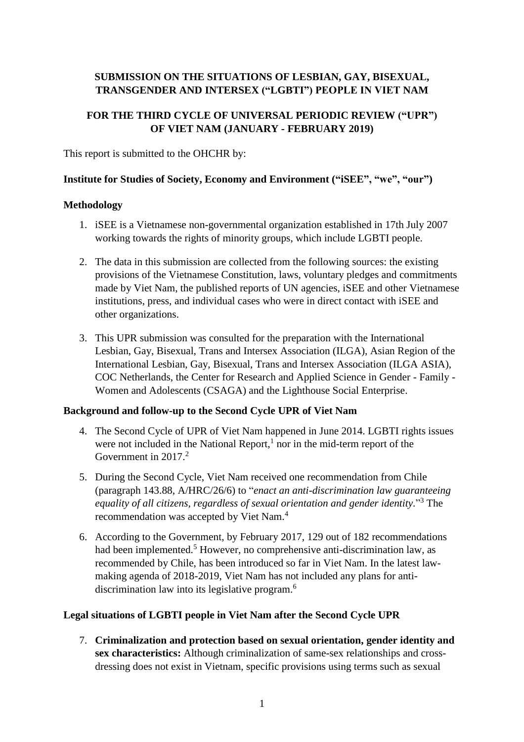# **SUBMISSION ON THE SITUATIONS OF LESBIAN, GAY, BISEXUAL, TRANSGENDER AND INTERSEX ("LGBTI") PEOPLE IN VIET NAM**

## **FOR THE THIRD CYCLE OF UNIVERSAL PERIODIC REVIEW ("UPR") OF VIET NAM (JANUARY - FEBRUARY 2019)**

This report is submitted to the OHCHR by:

#### **Institute for Studies of Society, Economy and Environment ("iSEE", "we", "our")**

#### **Methodology**

- 1. iSEE is a Vietnamese non-governmental organization established in 17th July 2007 working towards the rights of minority groups, which include LGBTI people.
- 2. The data in this submission are collected from the following sources: the existing provisions of the Vietnamese Constitution, laws, voluntary pledges and commitments made by Viet Nam, the published reports of UN agencies, iSEE and other Vietnamese institutions, press, and individual cases who were in direct contact with iSEE and other organizations.
- 3. This UPR submission was consulted for the preparation with the International Lesbian, Gay, Bisexual, Trans and Intersex Association (ILGA), Asian Region of the International Lesbian, Gay, Bisexual, Trans and Intersex Association (ILGA ASIA), COC Netherlands, the Center for Research and Applied Science in Gender - Family - Women and Adolescents (CSAGA) and the Lighthouse Social Enterprise.

## **Background and follow-up to the Second Cycle UPR of Viet Nam**

- 4. The Second Cycle of UPR of Viet Nam happened in June 2014. LGBTI rights issues were not included in the National Report, $<sup>1</sup>$  nor in the mid-term report of the</sup> Government in 2017. 2
- 5. During the Second Cycle, Viet Nam received one recommendation from Chile (paragraph 143.88, A/HRC/26/6) to "*enact an anti-discrimination law guaranteeing equality of all citizens, regardless of sexual orientation and gender identity.*" <sup>3</sup> The recommendation was accepted by Viet Nam.<sup>4</sup>
- 6. According to the Government, by February 2017, 129 out of 182 recommendations had been implemented.<sup>5</sup> However, no comprehensive anti-discrimination law, as recommended by Chile, has been introduced so far in Viet Nam. In the latest lawmaking agenda of 2018-2019, Viet Nam has not included any plans for antidiscrimination law into its legislative program.<sup>6</sup>

## **Legal situations of LGBTI people in Viet Nam after the Second Cycle UPR**

7. **Criminalization and protection based on sexual orientation, gender identity and sex characteristics:** Although criminalization of same-sex relationships and crossdressing does not exist in Vietnam, specific provisions using terms such as sexual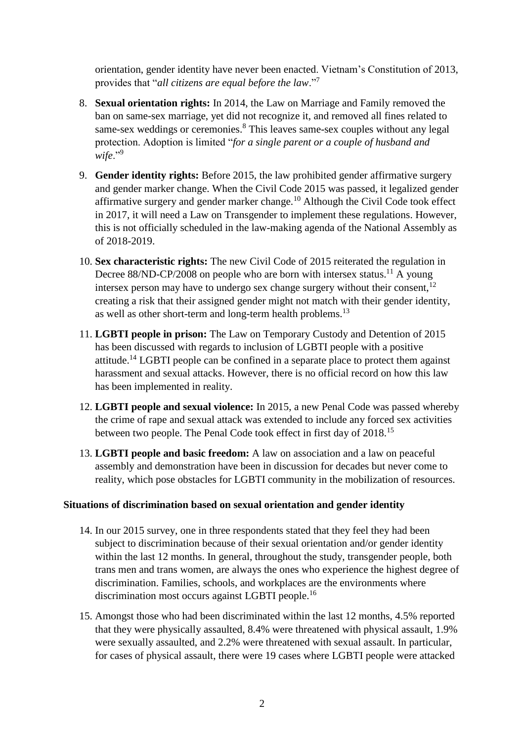orientation, gender identity have never been enacted. Vietnam's Constitution of 2013, provides that "*all citizens are equal before the law*."<sup>7</sup>

- 8. **Sexual orientation rights:** In 2014, the Law on Marriage and Family removed the ban on same-sex marriage, yet did not recognize it, and removed all fines related to same-sex weddings or ceremonies. <sup>8</sup> This leaves same-sex couples without any legal protection. Adoption is limited "*for a single parent or a couple of husband and*  wife."<sup>9</sup>
- 9. **Gender identity rights:** Before 2015, the law prohibited gender affirmative surgery and gender marker change. When the Civil Code 2015 was passed, it legalized gender affirmative surgery and gender marker change.<sup>10</sup> Although the Civil Code took effect in 2017, it will need a Law on Transgender to implement these regulations. However, this is not officially scheduled in the law-making agenda of the National Assembly as of 2018-2019.
- 10. **Sex characteristic rights:** The new Civil Code of 2015 reiterated the regulation in Decree 88/ND-CP/2008 on people who are born with intersex status.<sup>11</sup> A young intersex person may have to undergo sex change surgery without their consent, $12$ creating a risk that their assigned gender might not match with their gender identity, as well as other short-term and long-term health problems.<sup>13</sup>
- 11. **LGBTI people in prison:** The Law on Temporary Custody and Detention of 2015 has been discussed with regards to inclusion of LGBTI people with a positive attitude.<sup>14</sup> LGBTI people can be confined in a separate place to protect them against harassment and sexual attacks. However, there is no official record on how this law has been implemented in reality.
- 12. **LGBTI people and sexual violence:** In 2015, a new Penal Code was passed whereby the crime of rape and sexual attack was extended to include any forced sex activities between two people. The Penal Code took effect in first day of 2018.<sup>15</sup>
- 13. **LGBTI people and basic freedom:** A law on association and a law on peaceful assembly and demonstration have been in discussion for decades but never come to reality, which pose obstacles for LGBTI community in the mobilization of resources.

## **Situations of discrimination based on sexual orientation and gender identity**

- 14. In our 2015 survey, one in three respondents stated that they feel they had been subject to discrimination because of their sexual orientation and/or gender identity within the last 12 months. In general, throughout the study, transgender people, both trans men and trans women, are always the ones who experience the highest degree of discrimination. Families, schools, and workplaces are the environments where discrimination most occurs against LGBTI people.<sup>16</sup>
- 15. Amongst those who had been discriminated within the last 12 months, 4.5% reported that they were physically assaulted, 8.4% were threatened with physical assault, 1.9% were sexually assaulted, and 2.2% were threatened with sexual assault. In particular, for cases of physical assault, there were 19 cases where LGBTI people were attacked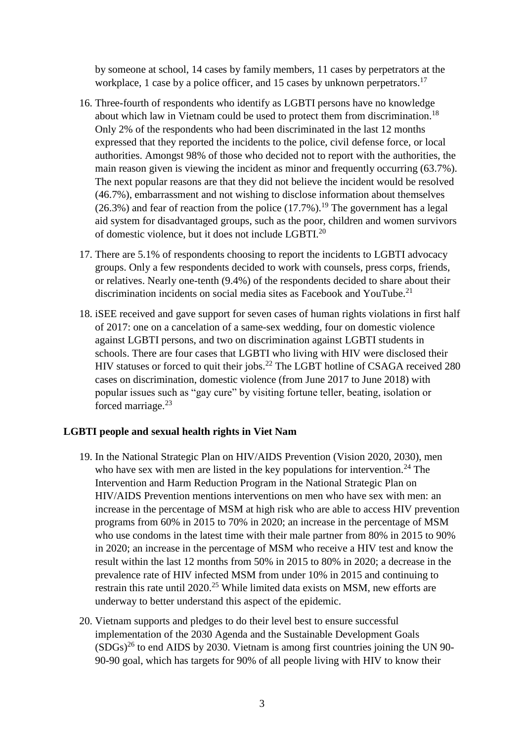by someone at school, 14 cases by family members, 11 cases by perpetrators at the workplace, 1 case by a police officer, and 15 cases by unknown perpetrators.<sup>17</sup>

- 16. Three-fourth of respondents who identify as LGBTI persons have no knowledge about which law in Vietnam could be used to protect them from discrimination.<sup>18</sup> Only 2% of the respondents who had been discriminated in the last 12 months expressed that they reported the incidents to the police, civil defense force, or local authorities. Amongst 98% of those who decided not to report with the authorities, the main reason given is viewing the incident as minor and frequently occurring (63.7%). The next popular reasons are that they did not believe the incident would be resolved (46.7%), embarrassment and not wishing to disclose information about themselves (26.3%) and fear of reaction from the police  $(17.7\%)$ .<sup>19</sup> The government has a legal aid system for disadvantaged groups, such as the poor, children and women survivors of domestic violence, but it does not include LGBTI.<sup>20</sup>
- 17. There are 5.1% of respondents choosing to report the incidents to LGBTI advocacy groups. Only a few respondents decided to work with counsels, press corps, friends, or relatives. Nearly one-tenth (9.4%) of the respondents decided to share about their discrimination incidents on social media sites as Facebook and YouTube.<sup>21</sup>
- 18. iSEE received and gave support for seven cases of human rights violations in first half of 2017: one on a cancelation of a same-sex wedding, four on domestic violence against LGBTI persons, and two on discrimination against LGBTI students in schools. There are four cases that LGBTI who living with HIV were disclosed their HIV statuses or forced to quit their jobs.<sup>22</sup> The LGBT hotline of CSAGA received 280 cases on discrimination, domestic violence (from June 2017 to June 2018) with popular issues such as "gay cure" by visiting fortune teller, beating, isolation or forced marriage.<sup>23</sup>

#### **LGBTI people and sexual health rights in Viet Nam**

- 19. In the National Strategic Plan on HIV/AIDS Prevention (Vision 2020, 2030), men who have sex with men are listed in the key populations for intervention.<sup>24</sup> The Intervention and Harm Reduction Program in the National Strategic Plan on HIV/AIDS Prevention mentions interventions on men who have sex with men: an increase in the percentage of MSM at high risk who are able to access HIV prevention programs from 60% in 2015 to 70% in 2020; an increase in the percentage of MSM who use condoms in the latest time with their male partner from 80% in 2015 to 90% in 2020; an increase in the percentage of MSM who receive a HIV test and know the result within the last 12 months from 50% in 2015 to 80% in 2020; a decrease in the prevalence rate of HIV infected MSM from under 10% in 2015 and continuing to restrain this rate until 2020.<sup>25</sup> While limited data exists on MSM, new efforts are underway to better understand this aspect of the epidemic.
- 20. Vietnam supports and pledges to do their level best to ensure successful implementation of the 2030 Agenda and the Sustainable Development Goals  $(SDGs)^{26}$  to end AIDS by 2030. Vietnam is among first countries joining the UN 90-90-90 goal, which has targets for 90% of all people living with HIV to know their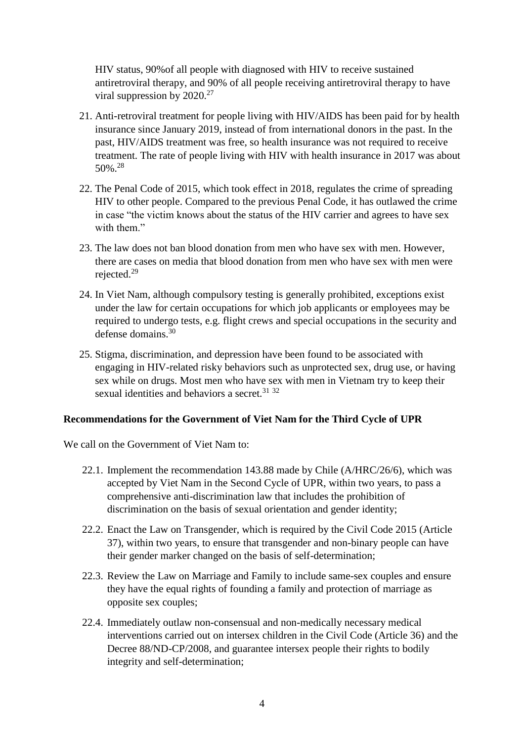HIV status, 90%of all people with diagnosed with HIV to receive sustained antiretroviral therapy, and 90% of all people receiving antiretroviral therapy to have viral suppression by  $2020.^{27}$ 

- 21. Anti-retroviral treatment for people living with HIV/AIDS has been paid for by health insurance since January 2019, instead of from international donors in the past. In the past, HIV/AIDS treatment was free, so health insurance was not required to receive treatment. The rate of people living with HIV with health insurance in 2017 was about 50%. 28
- 22. The Penal Code of 2015, which took effect in 2018, regulates the crime of spreading HIV to other people. Compared to the previous Penal Code, it has outlawed the crime in case "the victim knows about the status of the HIV carrier and agrees to have sex with them."
- 23. The law does not ban blood donation from men who have sex with men. However, there are cases on media that blood donation from men who have sex with men were rejected.<sup>29</sup>
- 24. In Viet Nam, although compulsory testing is generally prohibited, exceptions exist under the law for certain occupations for which job applicants or employees may be required to undergo tests, e.g. flight crews and special occupations in the security and defense domains.<sup>30</sup>
- 25. Stigma, discrimination, and depression have been found to be associated with engaging in HIV-related risky behaviors such as unprotected sex, drug use, or having sex while on drugs. Most men who have sex with men in Vietnam try to keep their sexual identities and behaviors a secret.<sup>31 32</sup>

## **Recommendations for the Government of Viet Nam for the Third Cycle of UPR**

We call on the Government of Viet Nam to:

- 22.1. Implement the recommendation 143.88 made by Chile (A/HRC/26/6), which was accepted by Viet Nam in the Second Cycle of UPR, within two years, to pass a comprehensive anti-discrimination law that includes the prohibition of discrimination on the basis of sexual orientation and gender identity;
- 22.2. Enact the Law on Transgender, which is required by the Civil Code 2015 (Article 37), within two years, to ensure that transgender and non-binary people can have their gender marker changed on the basis of self-determination;
- 22.3. Review the Law on Marriage and Family to include same-sex couples and ensure they have the equal rights of founding a family and protection of marriage as opposite sex couples;
- 22.4. Immediately outlaw non-consensual and non-medically necessary medical interventions carried out on intersex children in the Civil Code (Article 36) and the Decree 88/ND-CP/2008, and guarantee intersex people their rights to bodily integrity and self-determination;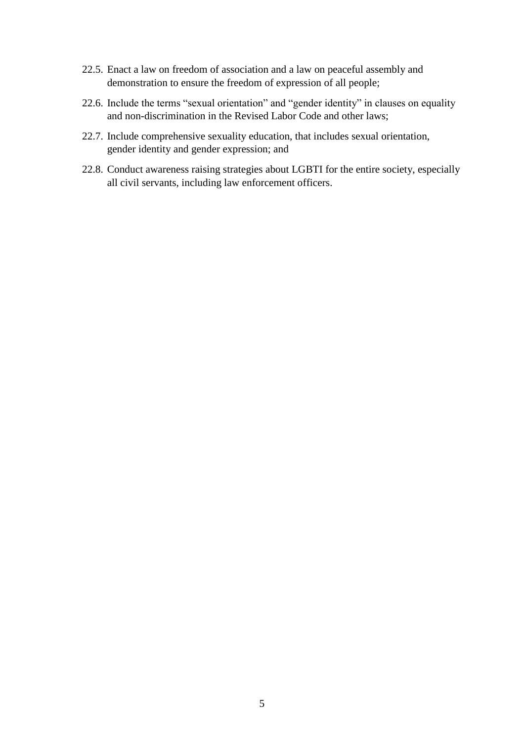- 22.5. Enact a law on freedom of association and a law on peaceful assembly and demonstration to ensure the freedom of expression of all people;
- 22.6. Include the terms "sexual orientation" and "gender identity" in clauses on equality and non-discrimination in the Revised Labor Code and other laws;
- 22.7. Include comprehensive sexuality education, that includes sexual orientation, gender identity and gender expression; and
- 22.8. Conduct awareness raising strategies about LGBTI for the entire society, especially all civil servants, including law enforcement officers.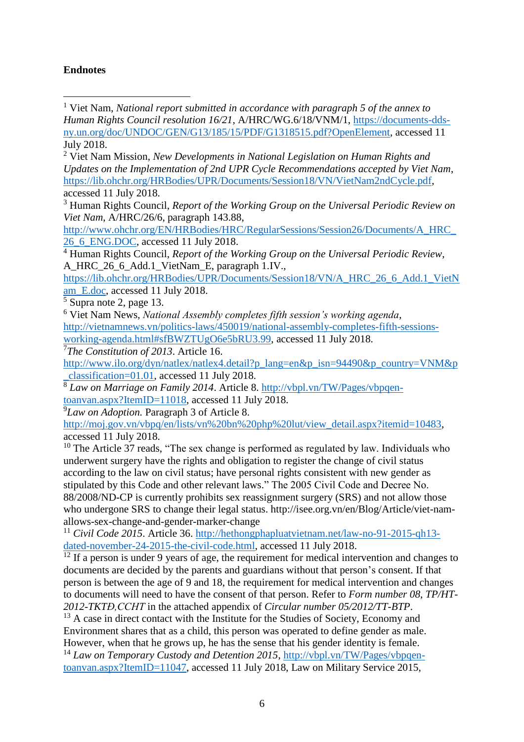## **Endnotes**

<sup>1</sup> Viet Nam, *National report submitted in accordance with paragraph 5 of the annex to Human Rights Council resolution 16/21*, A/HRC/WG.6/18/VNM/1, [https://documents-dds](https://documents-dds-ny.un.org/doc/UNDOC/GEN/G13/185/15/PDF/G1318515.pdf?OpenElement)[ny.un.org/doc/UNDOC/GEN/G13/185/15/PDF/G1318515.pdf?OpenElement,](https://documents-dds-ny.un.org/doc/UNDOC/GEN/G13/185/15/PDF/G1318515.pdf?OpenElement) accessed 11 July 2018. i

<sup>2</sup> Viet Nam Mission, *New Developments in National Legislation on Human Rights and Updates on the Implementation of 2nd UPR Cycle Recommendations accepted by Viet Nam*, [https://lib.ohchr.org/HRBodies/UPR/Documents/Session18/VN/VietNam2ndCycle.pdf,](https://lib.ohchr.org/HRBodies/UPR/Documents/Session18/VN/VietNam2ndCycle.pdf) accessed 11 July 2018.

[http://www.ohchr.org/EN/HRBodies/HRC/RegularSessions/Session26/Documents/A\\_HRC\\_](http://www.ohchr.org/EN/HRBodies/HRC/RegularSessions/Session26/Documents/A_HRC_26_6_ENG.DOC) [26\\_6\\_ENG.DOC,](http://www.ohchr.org/EN/HRBodies/HRC/RegularSessions/Session26/Documents/A_HRC_26_6_ENG.DOC) accessed 11 July 2018.

<sup>4</sup> Human Rights Council, *Report of the Working Group on the Universal Periodic Review*, A\_HRC\_26\_6\_Add.1\_VietNam\_E, paragraph 1.IV.,

[https://lib.ohchr.org/HRBodies/UPR/Documents/Session18/VN/A\\_HRC\\_26\\_6\\_Add.1\\_VietN](https://lib.ohchr.org/HRBodies/UPR/Documents/Session18/VN/A_HRC_26_6_Add.1_VietNam_E.doc) [am\\_E.doc,](https://lib.ohchr.org/HRBodies/UPR/Documents/Session18/VN/A_HRC_26_6_Add.1_VietNam_E.doc) accessed 11 July 2018.

<sup>5</sup> Supra note 2, page 13.

<sup>6</sup> Viet Nam News, *National Assembly completes fifth session's working agenda*, [http://vietnamnews.vn/politics-laws/450019/national-assembly-completes-fifth-sessions-](http://vietnamnews.vn/politics-laws/450019/national-assembly-completes-fifth-sessions-working-agenda.html#sfBWZTUgO6e5bRU3.99)

[working-agenda.html#sfBWZTUgO6e5bRU3.99,](http://vietnamnews.vn/politics-laws/450019/national-assembly-completes-fifth-sessions-working-agenda.html#sfBWZTUgO6e5bRU3.99) accessed 11 July 2018.

<sup>7</sup>*The Constitution of 2013*. Article 16.

http://www.ilo.org/dyn/natlex/natlex4.detail?p\_lang=en&p\_isn=94490&p\_country=VNM&p \_classification=01.01, accessed 11 July 2018.

<sup>8</sup> Law on Marriage on Family 2014. Article 8. [http://vbpl.vn/TW/Pages/vbpqen](http://vbpl.vn/TW/Pages/vbpqen-toanvan.aspx?ItemID=11018)[toanvan.aspx?ItemID=11018,](http://vbpl.vn/TW/Pages/vbpqen-toanvan.aspx?ItemID=11018) accessed 11 July 2018.

<sup>9</sup>*Law on Adoption.* Paragraph 3 of Article 8.

[http://moj.gov.vn/vbpq/en/lists/vn%20bn%20php%20lut/view\\_detail.aspx?itemid=10483,](http://moj.gov.vn/vbpq/en/lists/vn%20bn%20php%20lut/view_detail.aspx?itemid=10483) accessed 11 July 2018.

 $10$  The Article 37 reads, "The sex change is performed as regulated by law. Individuals who underwent surgery have the rights and obligation to register the change of civil status according to the law on civil status; have personal rights consistent with new gender as stipulated by this Code and other relevant laws." The 2005 Civil Code and Decree No. 88/2008/ND-CP is currently prohibits sex reassignment surgery (SRS) and not allow those who undergone SRS to change their legal status. http://isee.org.vn/en/Blog/Article/viet-namallows-sex-change-and-gender-marker-change

<sup>11</sup> *Civil Code 2015*. Article 36. [http://hethongphapluatvietnam.net/law-no-91-2015-qh13](http://hethongphapluatvietnam.net/law-no-91-2015-qh13-dated-november-24-2015-the-civil-code.html) [dated-november-24-2015-the-civil-code.html,](http://hethongphapluatvietnam.net/law-no-91-2015-qh13-dated-november-24-2015-the-civil-code.html) accessed 11 July 2018.

 $12$  If a person is under 9 years of age, the requirement for medical intervention and changes to documents are decided by the parents and guardians without that person's consent. If that person is between the age of 9 and 18, the requirement for medical intervention and changes to documents will need to have the consent of that person. Refer to *Form number 08, TP/HT-2012-TKTĐ,CCHT* in the attached appendix of *Circular number 05/2012/TT-BTP*.

<sup>13</sup> A case in direct contact with the Institute for the Studies of Society, Economy and Environment shares that as a child, this person was operated to define gender as male. However, when that he grows up, he has the sense that his gender identity is female.

<sup>14</sup> *Law on Temporary Custody and Detention 2015*, http://vbpl.vn/TW/Pages/vbpqentoanvan.aspx?ItemID=11047, accessed 11 July 2018, Law on Military Service 2015,

<sup>3</sup> Human Rights Council, *Report of the Working Group on the Universal Periodic Review on Viet Nam*, A/HRC/26/6, paragraph 143.88,